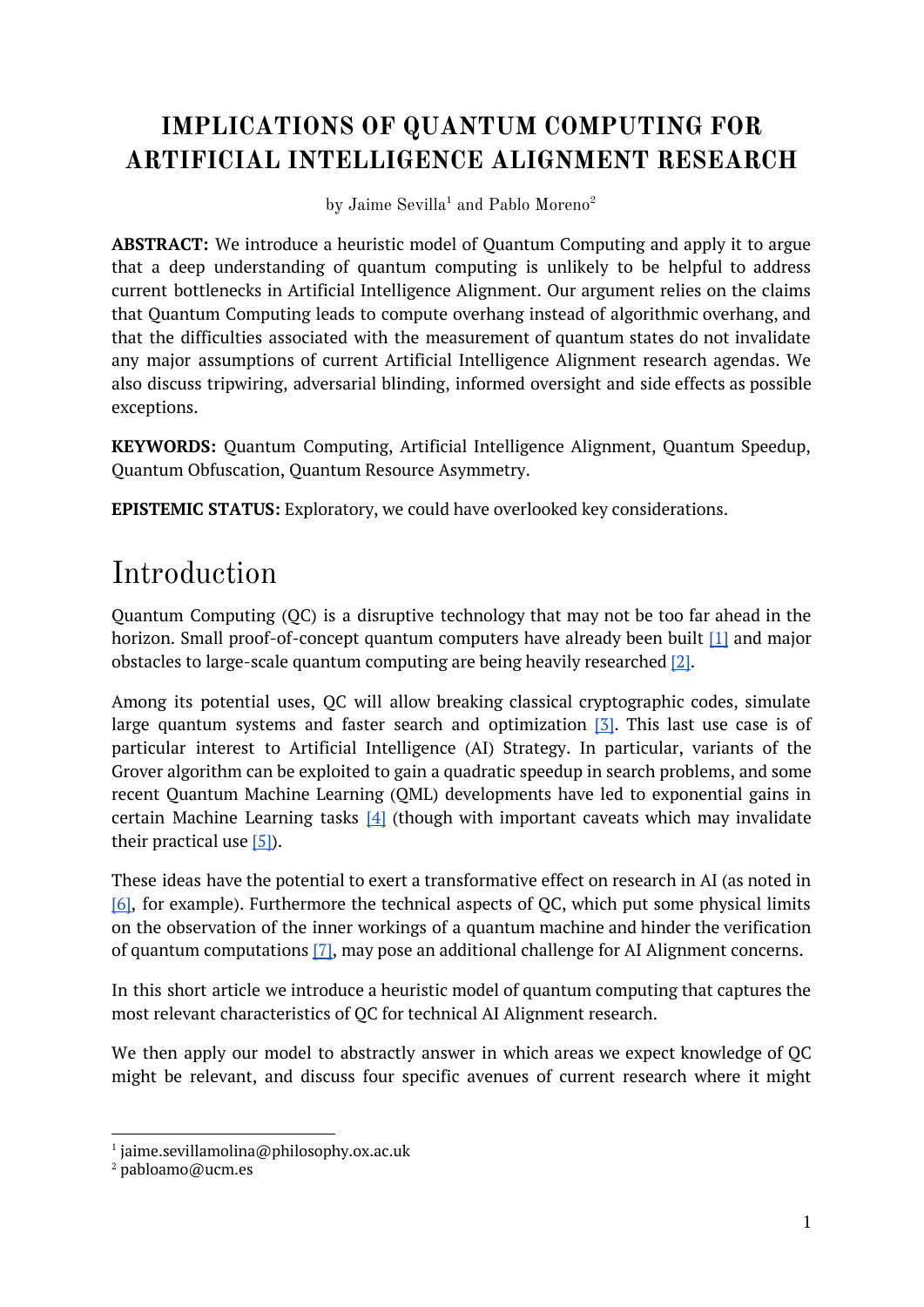### **IMPLICATIONS OF QUANTUM COMPUTING FOR ARTIFICIAL INTELLIGENCE ALIGNMENT RESEARCH**

by Jaime Sevilla<sup>1</sup> and Pablo Moreno<sup>2</sup>

**ABSTRACT:** We introduce a heuristic model of Quantum Computing and apply it to argue that a deep understanding of quantum computing is unlikely to be helpful to address current bottlenecks in Artificial Intelligence Alignment. Our argument relies on the claims that Quantum Computing leads to compute overhang instead of algorithmic overhang, and that the difficulties associated with the measurement of quantum states do not invalidate any major assumptions of current Artificial Intelligence Alignment research agendas. We also discuss tripwiring, adversarial blinding, informed oversight and side effects as possible exceptions.

**KEYWORDS:** Quantum Computing, Artificial Intelligence Alignment, Quantum Speedup, Quantum Obfuscation, Quantum Resource Asymmetry.

**EPISTEMIC STATUS:** Exploratory, we could have overlooked key considerations.

# Introduction

Quantum Computing (QC) is a disruptive technology that may not be too far ahead in the horizon. Small proof-of-concept quantum computers have already been built [\[1\]](https://www.nature.com/articles/ncomms7979) and major obstacles to large-scale quantum computing are being heavily researched [\[2\].](https://ieeexplore.ieee.org/document/7927104)

Among its potential uses, QC will allow breaking classical cryptographic codes, simulate large quantum systems and faster search and optimization  $[3]$ . This last use case is of particular interest to Artificial Intelligence (AI) Strategy. In particular, variants of the Grover algorithm can be exploited to gain a quadratic speedup in search problems, and some recent Quantum Machine Learning (QML) developments have led to exponential gains in certain Machine Learning tasks  $[4]$  (though with important caveats which may invalidate their practical use  $[5]$ ).

These ideas have the potential to exert a transformative effect on research in AI (as noted in [\[6\],](https://www.fhi.ox.ac.uk/wp-content/uploads/GovAIAgenda.pdf) for example). Furthermore the technical aspects of QC, which put some physical limits on the observation of the inner workings of a quantum machine and hinder the verification of quantum computations [\[7\],](https://arxiv.org/pdf/1804.01082.pdf) may pose an additional challenge for AI Alignment concerns.

In this short article we introduce a heuristic model of quantum computing that captures the most relevant characteristics of QC for technical AI Alignment research.

We then apply our model to abstractly answer in which areas we expect knowledge of QC might be relevant, and discuss four specific avenues of current research where it might

<sup>1</sup> jaime.sevillamolina@philosophy.ox.ac.uk

<sup>2</sup> pabloamo@ucm.es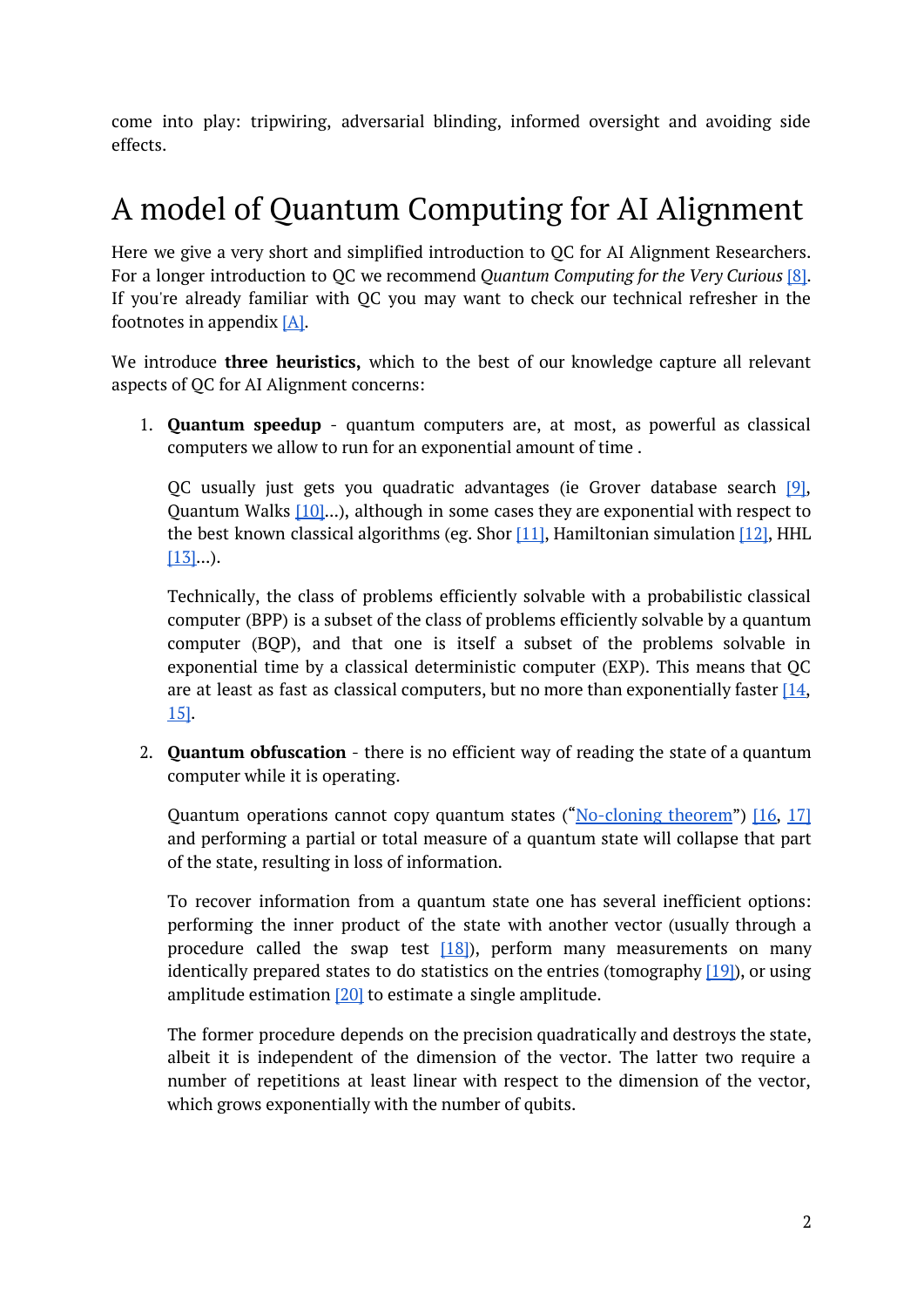come into play: tripwiring, adversarial blinding, informed oversight and avoiding side effects.

# A model of Quantum Computing for AI Alignment

Here we give a very short and simplified introduction to QC for AI Alignment Researchers. For a longer introduction to QC we recommend *Quantum Computing for the Very Curious* [\[8\].](https://quantum.country/qcvc) If you're already familiar with QC you may want to check our technical refresher in the footnotes in appendix [\[A\].](#page-7-0)

We introduce **three heuristics,** which to the best of our knowledge capture all relevant aspects of QC for AI Alignment concerns:

1. **Quantum speedup** - quantum computers are, at most, as powerful as classical computers we allow to run for an exponential amount of time .

QC usually just gets you quadratic advantages (ie Grover database search [\[9\]](https://arxiv.org/pdf/quant-ph/9605043.pdf), Quantum Walks [\[10\]](https://www.researchgate.net/profile/Mario_Szegedy/publication/4109377_Quantum_speed-up_of_Markov_Chain_based_algorithms/links/53fb7d920cf22f21c2f33046.pdf)...), although in some cases they are exponential with respect to the best known classical algorithms (eg. Shor  $[11]$ , Hamiltonian simulation  $[12]$ , HHL  $[13]...$  $[13]...$ ).

Technically, the class of problems efficiently solvable with a probabilistic classical computer (BPP) is a subset of the class of problems efficiently solvable by a quantum computer (BQP), and that one is itself a subset of the problems solvable in exponential time by a classical deterministic computer (EXP). This means that QC are at least as fast as classical computers, but no more than exponentially faster  $[14]$ , [15\]](https://complexityzoo.uwaterloo.ca/Petting_Zoo).

2. **Quantum obfuscation** - there is no efficient way of reading the state of a quantum computer while it is operating.

Quantum operations cannot copy quantum states ("[No-cloning](https://en.wikipedia.org/wiki/No-cloning_theorem) theorem") [\[16,](http://copilot.caltech.edu/documents/525-299802a0.pdf) [17\]](https://journals.aps.org/rmp/abstract/10.1103/RevModPhys.77.1225) and performing a partial or total measure of a quantum state will collapse that part of the state, resulting in loss of information.

To recover information from a quantum state one has several inefficient options: performing the inner product of the state with another vector (usually through a procedure called the swap test  $[18]$ , perform many measurements on many identically prepared states to do statistics on the entries (tomography  $[19]$ ), or using amplitude estimation [\[20\]](https://arxiv.org/pdf/quant-ph/0005055.pdf) to estimate a single amplitude.

The former procedure depends on the precision quadratically and destroys the state, albeit it is independent of the dimension of the vector. The latter two require a number of repetitions at least linear with respect to the dimension of the vector, which grows exponentially with the number of qubits.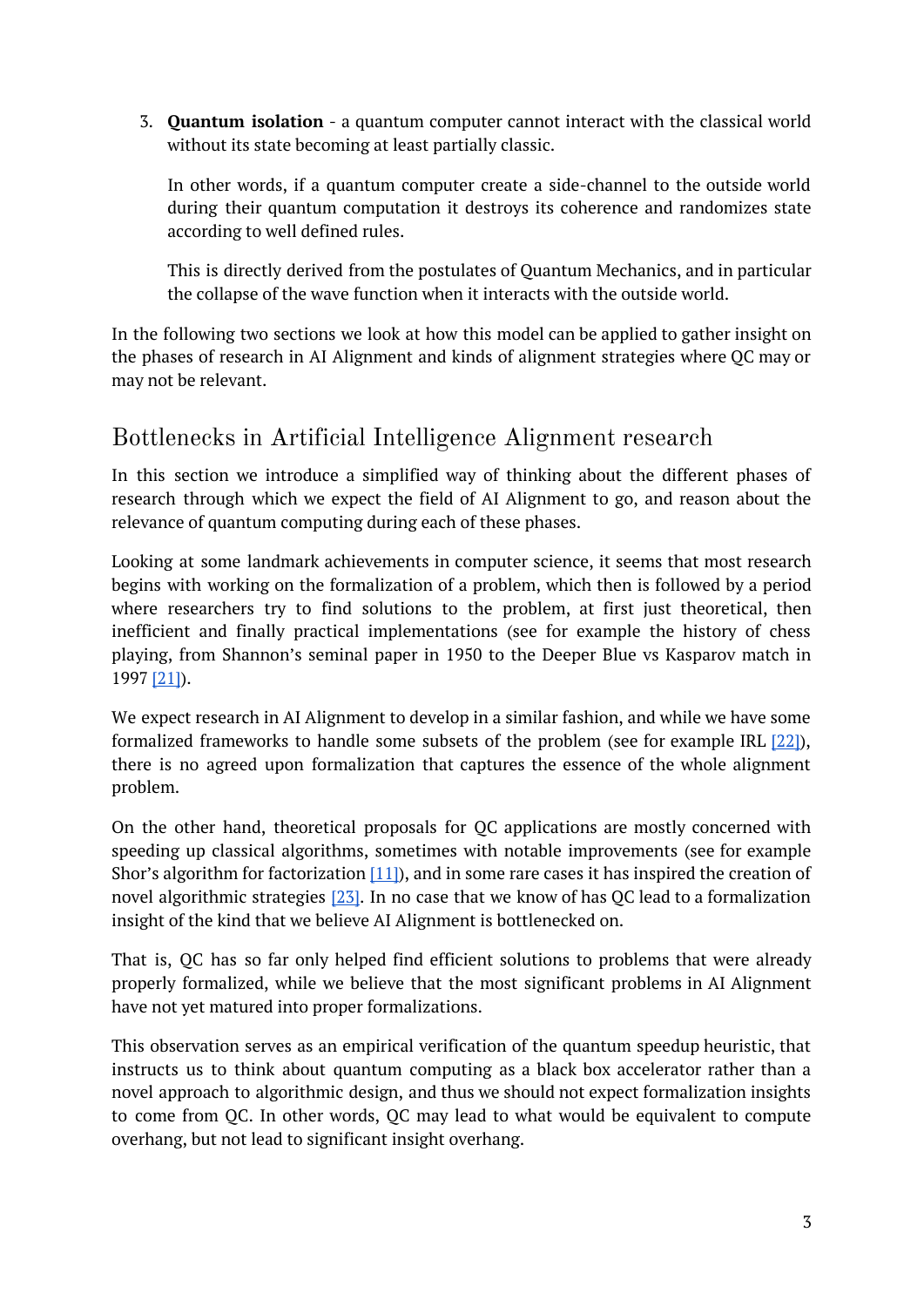3. **Quantum isolation** - a quantum computer cannot interact with the classical world without its state becoming at least partially classic.

In other words, if a quantum computer create a side-channel to the outside world during their quantum computation it destroys its coherence and randomizes state according to well defined rules.

This is directly derived from the postulates of Quantum Mechanics, and in particular the collapse of the wave function when it interacts with the outside world.

In the following two sections we look at how this model can be applied to gather insight on the phases of research in AI Alignment and kinds of alignment strategies where QC may or may not be relevant.

### Bottlenecks in Artificial Intelligence Alignment research

In this section we introduce a simplified way of thinking about the different phases of research through which we expect the field of AI Alignment to go, and reason about the relevance of quantum computing during each of these phases.

Looking at some landmark achievements in computer science, it seems that most research begins with working on the formalization of a problem, which then is followed by a period where researchers try to find solutions to the problem, at first just theoretical, then inefficient and finally practical implementations (see for example the history of chess playing, from Shannon's seminal paper in 1950 to the Deeper Blue vs Kasparov match in 1997 [\[21\]](https://stanford.edu/~cpiech/cs221/apps/deepBlue.html)).

We expect research in AI Alignment to develop in a similar fashion, and while we have some formalized frameworks to handle some subsets of the problem (see for example IRL  $[22]$ ), there is no agreed upon formalization that captures the essence of the whole alignment problem.

On the other hand, theoretical proposals for QC applications are mostly concerned with speeding up classical algorithms, sometimes with notable improvements (see for example Shor's algorithm for factorization  $[11]$ , and in some rare cases it has inspired the creation of novel algorithmic strategies  $[23]$ . In no case that we know of has QC lead to a formalization insight of the kind that we believe AI Alignment is bottlenecked on.

That is, QC has so far only helped find efficient solutions to problems that were already properly formalized, while we believe that the most significant problems in AI Alignment have not yet matured into proper formalizations.

This observation serves as an empirical verification of the quantum speedup heuristic, that instructs us to think about quantum computing as a black box accelerator rather than a novel approach to algorithmic design, and thus we should not expect formalization insights to come from QC. In other words, QC may lead to what would be equivalent to compute overhang, but not lead to significant insight overhang.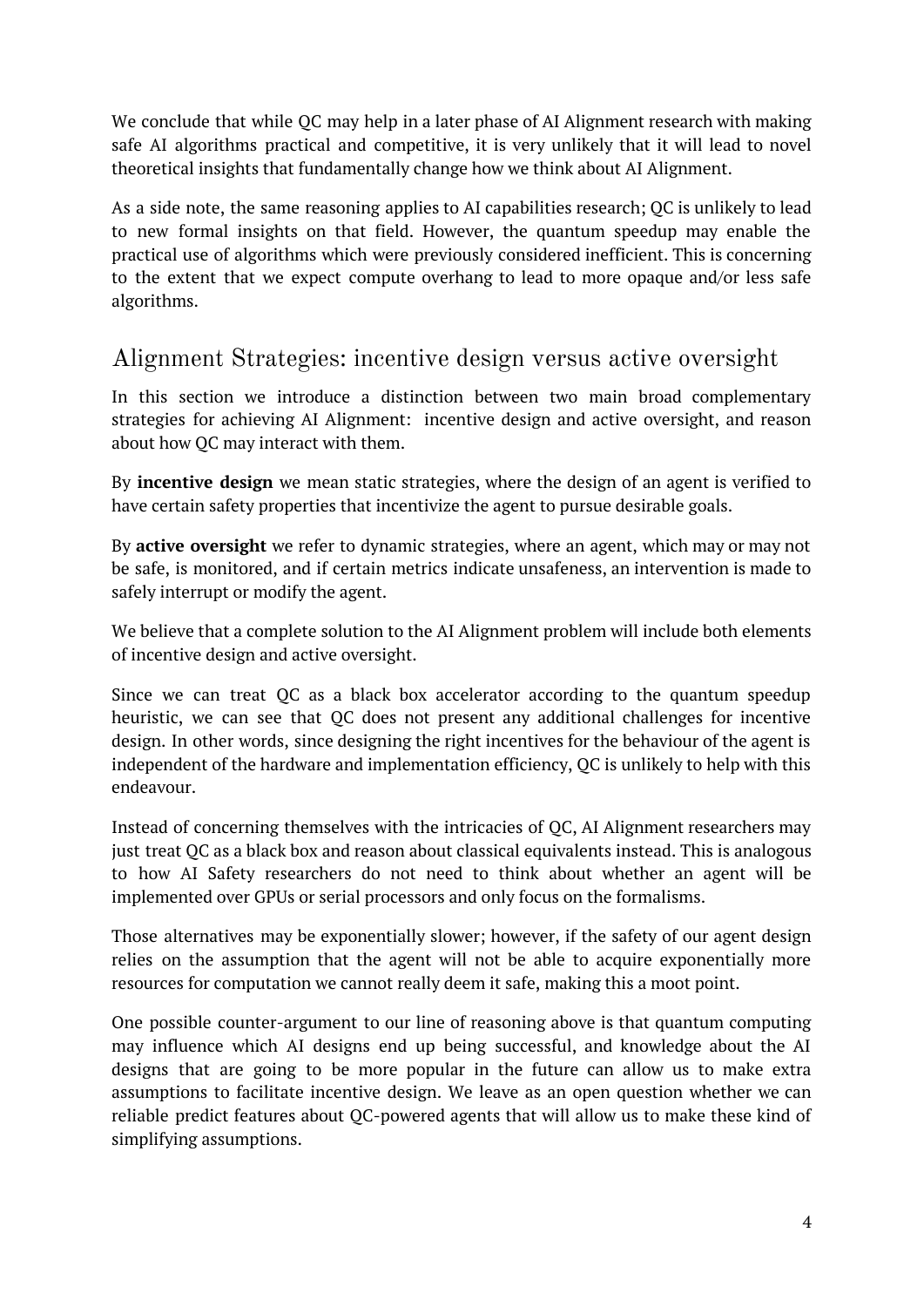We conclude that while QC may help in a later phase of AI Alignment research with making safe AI algorithms practical and competitive, it is very unlikely that it will lead to novel theoretical insights that fundamentally change how we think about AI Alignment.

As a side note, the same reasoning applies to AI capabilities research; QC is unlikely to lead to new formal insights on that field. However, the quantum speedup may enable the practical use of algorithms which were previously considered inefficient. This is concerning to the extent that we expect compute overhang to lead to more opaque and/or less safe algorithms.

### Alignment Strategies: incentive design versus active oversight

In this section we introduce a distinction between two main broad complementary strategies for achieving AI Alignment: incentive design and active oversight, and reason about how QC may interact with them.

By **incentive design** we mean static strategies, where the design of an agent is verified to have certain safety properties that incentivize the agent to pursue desirable goals.

By **active oversight** we refer to dynamic strategies, where an agent, which may or may not be safe, is monitored, and if certain metrics indicate unsafeness, an intervention is made to safely interrupt or modify the agent.

We believe that a complete solution to the AI Alignment problem will include both elements of incentive design and active oversight.

Since we can treat QC as a black box accelerator according to the quantum speedup heuristic, we can see that QC does not present any additional challenges for incentive design. In other words, since designing the right incentives for the behaviour of the agent is independent of the hardware and implementation efficiency, QC is unlikely to help with this endeavour.

Instead of concerning themselves with the intricacies of QC, AI Alignment researchers may just treat QC as a black box and reason about classical equivalents instead. This is analogous to how AI Safety researchers do not need to think about whether an agent will be implemented over GPUs or serial processors and only focus on the formalisms.

Those alternatives may be exponentially slower; however, if the safety of our agent design relies on the assumption that the agent will not be able to acquire exponentially more resources for computation we cannot really deem it safe, making this a moot point.

One possible counter-argument to our line of reasoning above is that quantum computing may influence which AI designs end up being successful, and knowledge about the AI designs that are going to be more popular in the future can allow us to make extra assumptions to facilitate incentive design. We leave as an open question whether we can reliable predict features about QC-powered agents that will allow us to make these kind of simplifying assumptions.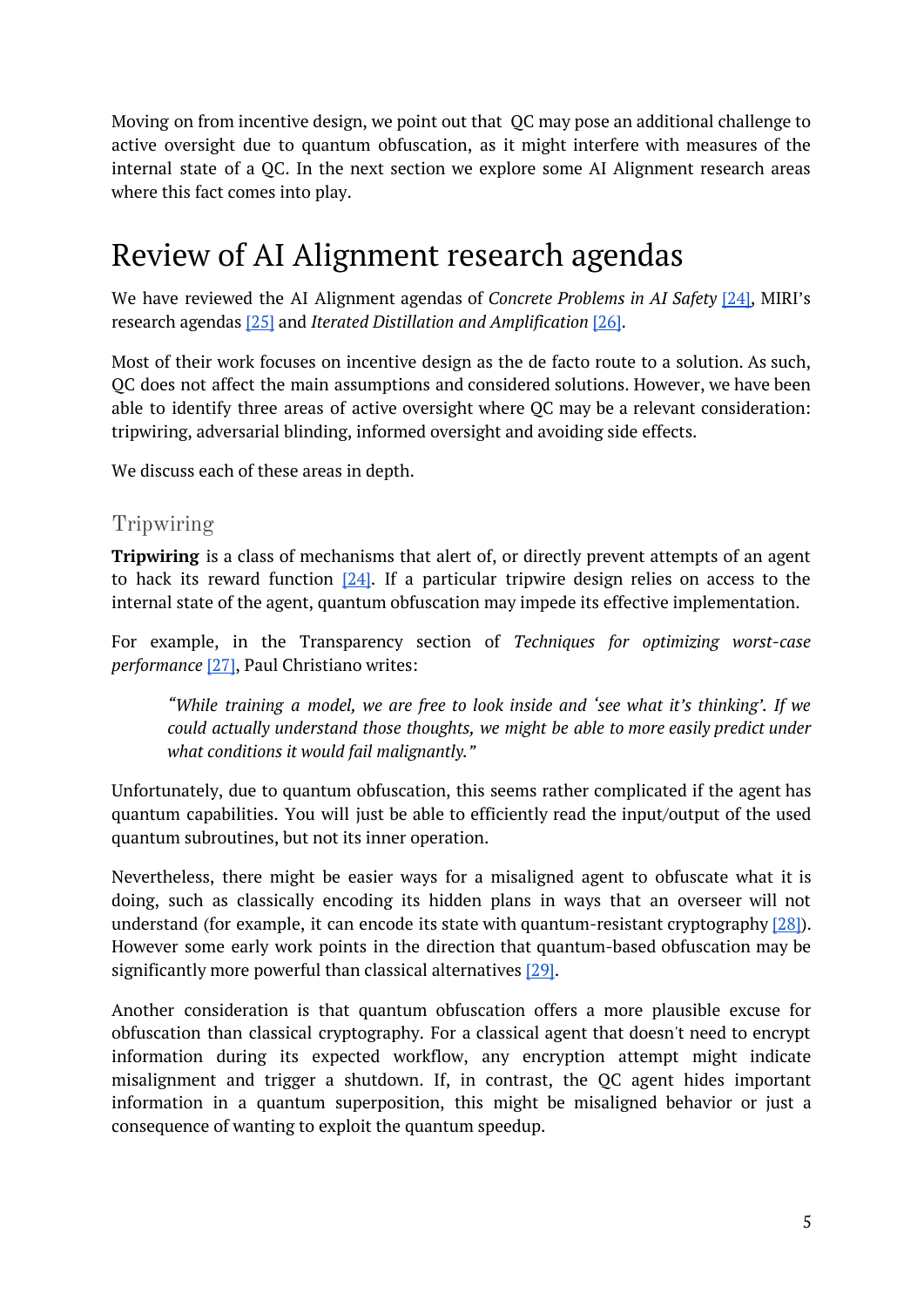Moving on from incentive design, we point out that QC may pose an additional challenge to active oversight due to quantum obfuscation, as it might interfere with measures of the internal state of a QC. In the next section we explore some AI Alignment research areas where this fact comes into play.

# Review of AI Alignment research agendas

We have reviewed the AI Alignment agendas of *Concrete Problems in AI Safety* [\[24\]](https://arxiv.org/pdf/1606.06565.pdf), MIRI's research agendas [\[25\]](https://arxiv.org/pdf/1902.09469.pdf) and *Iterated Distillation and Amplification* [\[26\]](https://ai-alignment.com/iterated-distillation-and-amplification-157debfd1616).

Most of their work focuses on incentive design as the de facto route to a solution. As such, QC does not affect the main assumptions and considered solutions. However, we have been able to identify three areas of active oversight where QC may be a relevant consideration: tripwiring, adversarial blinding, informed oversight and avoiding side effects.

We discuss each of these areas in depth.

#### Tripwiring

**Tripwiring** is a class of mechanisms that alert of, or directly prevent attempts of an agent to hack its reward function  $[24]$ . If a particular tripwire design relies on access to the internal state of the agent, quantum obfuscation may impede its effective implementation.

For example, in the Transparency section of *Techniques for optimizing worst-case performance* [\[27\],](https://ai-alignment.com/techniques-for-optimizing-worst-case-performance-39eafec74b99) Paul Christiano writes:

*"While training a model, we are free to look inside and 'see what it's thinking'. If we could actually understand those thoughts, we might be able to more easily predict under what conditions it would fail malignantly."*

Unfortunately, due to quantum obfuscation, this seems rather complicated if the agent has quantum capabilities. You will just be able to efficiently read the input/output of the used quantum subroutines, but not its inner operation.

Nevertheless, there might be easier ways for a misaligned agent to obfuscate what it is doing, such as classically encoding its hidden plans in ways that an overseer will not understand (for example, it can encode its state with quantum-resistant cryptography [\[28\]\)](https://nvlpubs.nist.gov/nistpubs/ir/2016/nist.ir.8105.pdf). However some early work points in the direction that quantum-based obfuscation may be significantly more powerful than classical alternatives [\[29\].](https://arxiv.org/pdf/1602.01771.pdf)

Another consideration is that quantum obfuscation offers a more plausible excuse for obfuscation than classical cryptography. For a classical agent that doesn't need to encrypt information during its expected workflow, any encryption attempt might indicate misalignment and trigger a shutdown. If, in contrast, the QC agent hides important information in a quantum superposition, this might be misaligned behavior or just a consequence of wanting to exploit the quantum speedup.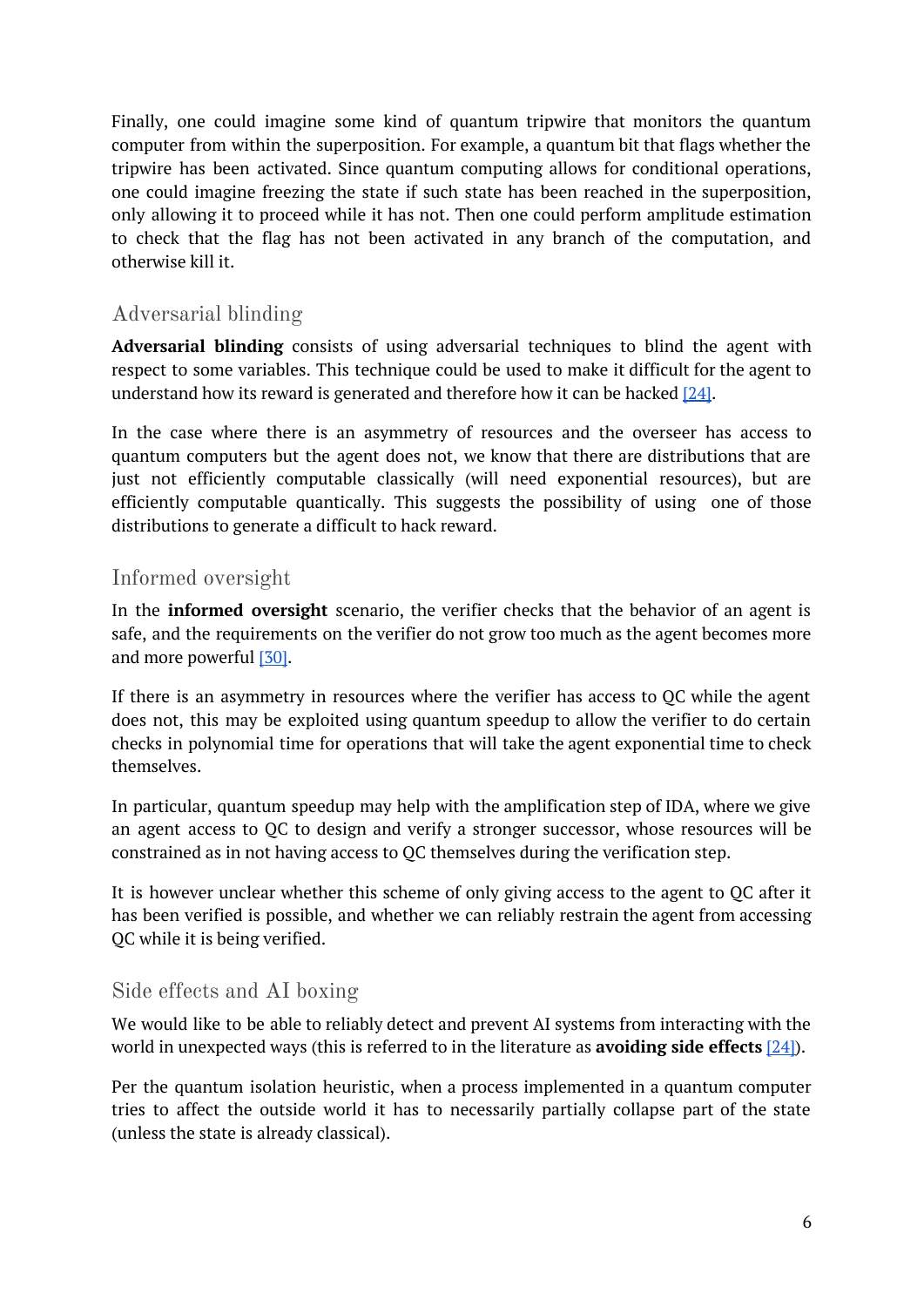Finally, one could imagine some kind of quantum tripwire that monitors the quantum computer from within the superposition. For example, a quantum bit that flags whether the tripwire has been activated. Since quantum computing allows for conditional operations, one could imagine freezing the state if such state has been reached in the superposition, only allowing it to proceed while it has not. Then one could perform amplitude estimation to check that the flag has not been activated in any branch of the computation, and otherwise kill it.

#### Adversarial blinding

**Adversarial blinding** consists of using adversarial techniques to blind the agent with respect to some variables. This technique could be used to make it difficult for the agent to understand how its reward is generated and therefore how it can be hacked  $[24]$ .

In the case where there is an asymmetry of resources and the overseer has access to quantum computers but the agent does not, we know that there are distributions that are just not efficiently computable classically (will need exponential resources), but are efficiently computable quantically. This suggests the possibility of using one of those distributions to generate a difficult to hack reward.

#### Informed oversight

In the **informed oversight** scenario, the verifier checks that the behavior of an agent is safe, and the requirements on the verifier do not grow too much as the agent becomes more and more powerful [\[30\]](https://ai-alignment.com/the-informed-oversight-problem-1b51b4f66b35).

If there is an asymmetry in resources where the verifier has access to QC while the agent does not, this may be exploited using quantum speedup to allow the verifier to do certain checks in polynomial time for operations that will take the agent exponential time to check themselves.

In particular, quantum speedup may help with the amplification step of IDA, where we give an agent access to QC to design and verify a stronger successor, whose resources will be constrained as in not having access to QC themselves during the verification step.

It is however unclear whether this scheme of only giving access to the agent to QC after it has been verified is possible, and whether we can reliably restrain the agent from accessing QC while it is being verified.

#### Side effects and AI boxing

We would like to be able to reliably detect and prevent AI systems from interacting with the world in unexpected ways (this is referred to in the literature as **avoiding side effects** [\[24\]](https://arxiv.org/pdf/1606.06565.pdf)).

Per the quantum isolation heuristic, when a process implemented in a quantum computer tries to affect the outside world it has to necessarily partially collapse part of the state (unless the state is already classical).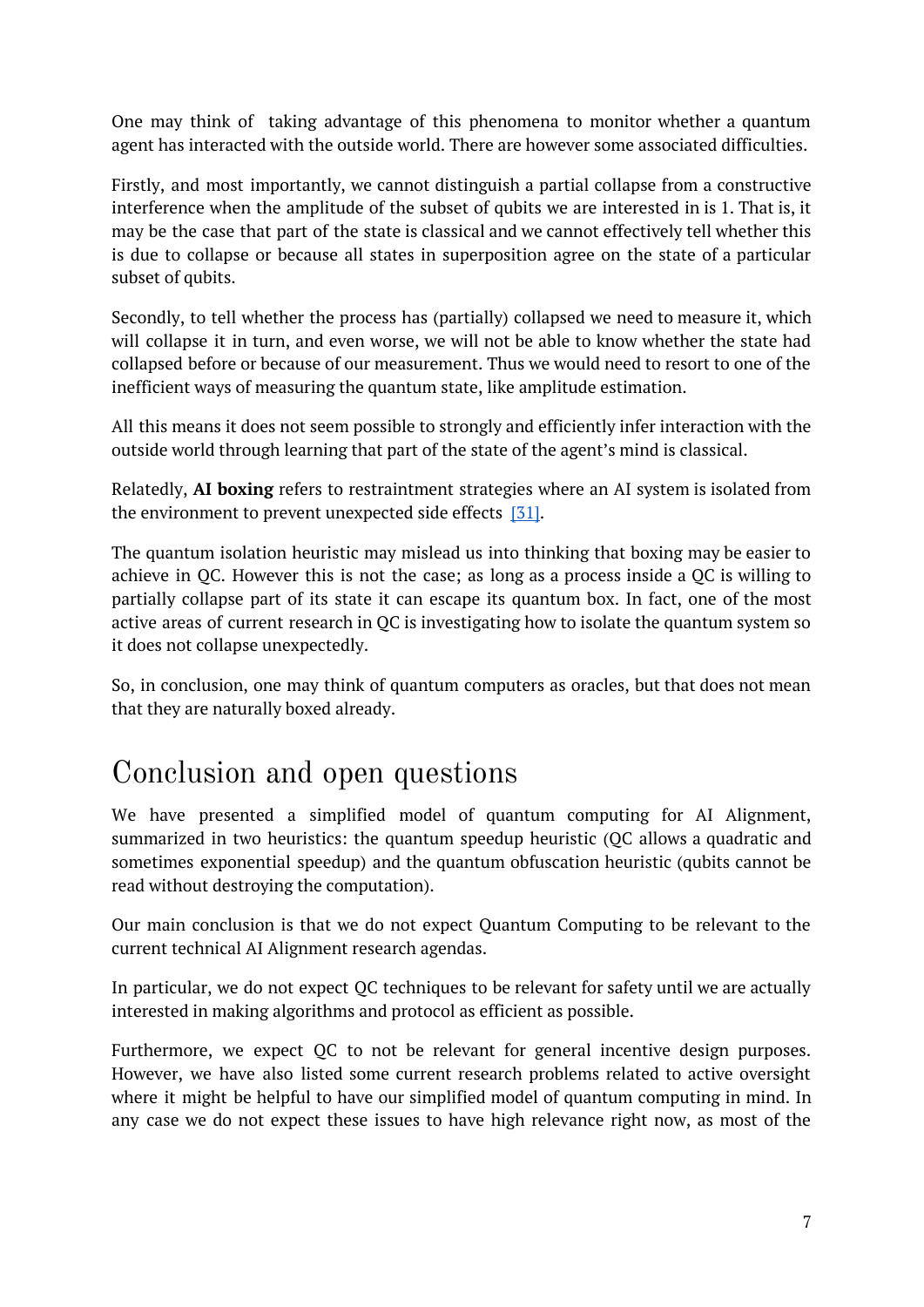One may think of taking advantage of this phenomena to monitor whether a quantum agent has interacted with the outside world. There are however some associated difficulties.

Firstly, and most importantly, we cannot distinguish a partial collapse from a constructive interference when the amplitude of the subset of qubits we are interested in is 1. That is, it may be the case that part of the state is classical and we cannot effectively tell whether this is due to collapse or because all states in superposition agree on the state of a particular subset of qubits.

Secondly, to tell whether the process has (partially) collapsed we need to measure it, which will collapse it in turn, and even worse, we will not be able to know whether the state had collapsed before or because of our measurement. Thus we would need to resort to one of the inefficient ways of measuring the quantum state, like amplitude estimation.

All this means it does not seem possible to strongly and efficiently infer interaction with the outside world through learning that part of the state of the agent's mind is classical.

Relatedly, **AI boxing** refers to restraintment strategies where an AI system is isolated from the environment to prevent unexpected side effects [\[31\]](https://nickbostrom.com/papers/oracle.pdf).

The quantum isolation heuristic may mislead us into thinking that boxing may be easier to achieve in QC. However this is not the case; as long as a process inside a QC is willing to partially collapse part of its state it can escape its quantum box. In fact, one of the most active areas of current research in QC is investigating how to isolate the quantum system so it does not collapse unexpectedly.

So, in conclusion, one may think of quantum computers as oracles, but that does not mean that they are naturally boxed already.

## Conclusion and open questions

We have presented a simplified model of quantum computing for AI Alignment, summarized in two heuristics: the quantum speedup heuristic (QC allows a quadratic and sometimes exponential speedup) and the quantum obfuscation heuristic (qubits cannot be read without destroying the computation).

Our main conclusion is that we do not expect Quantum Computing to be relevant to the current technical AI Alignment research agendas.

In particular, we do not expect QC techniques to be relevant for safety until we are actually interested in making algorithms and protocol as efficient as possible.

Furthermore, we expect QC to not be relevant for general incentive design purposes. However, we have also listed some current research problems related to active oversight where it might be helpful to have our simplified model of quantum computing in mind. In any case we do not expect these issues to have high relevance right now, as most of the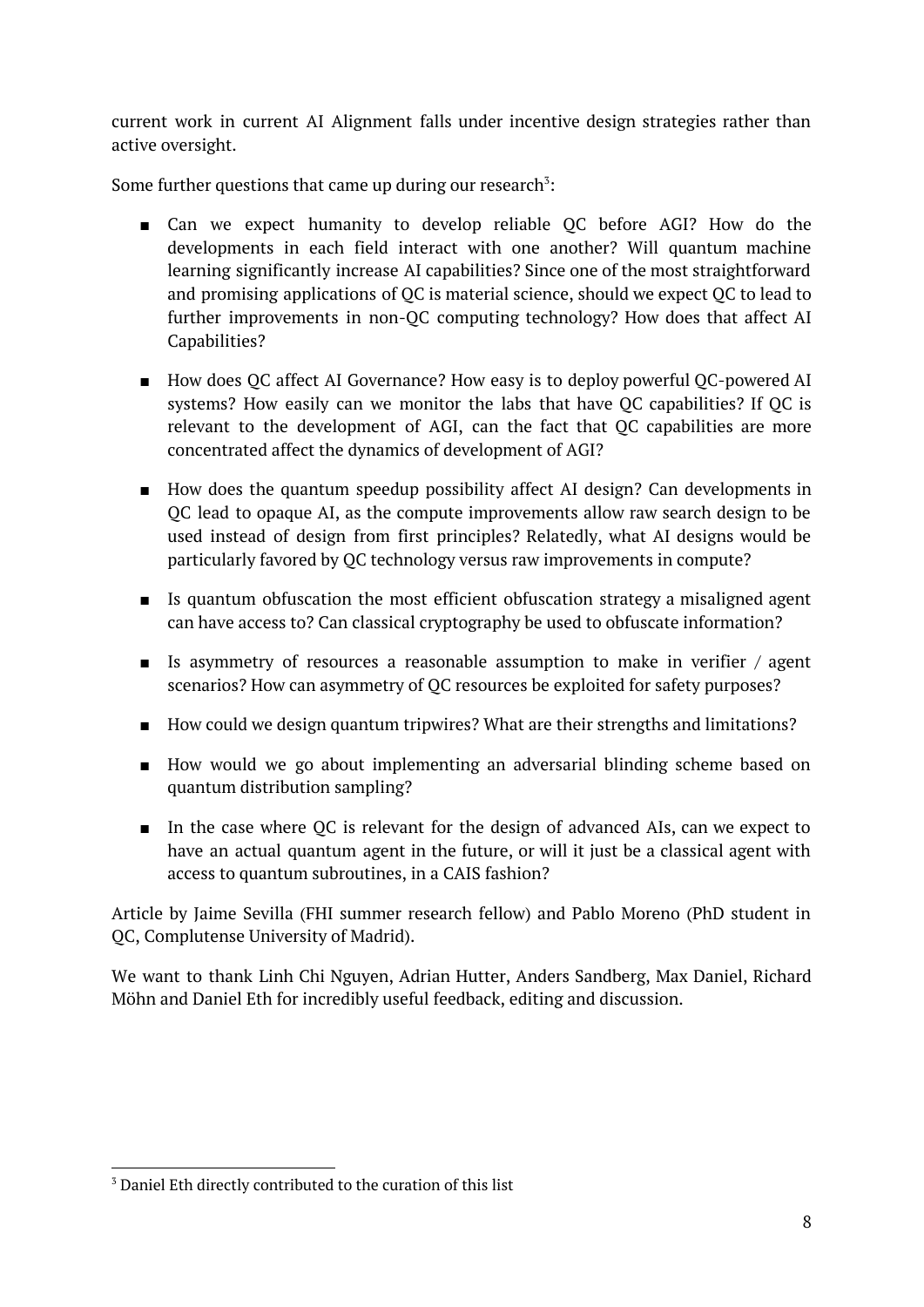current work in current AI Alignment falls under incentive design strategies rather than active oversight.

Some further questions that came up during our research<sup>3</sup>:

- Can we expect humanity to develop reliable QC before AGI? How do the developments in each field interact with one another? Will quantum machine learning significantly increase AI capabilities? Since one of the most straightforward and promising applications of QC is material science, should we expect QC to lead to further improvements in non-QC computing technology? How does that affect AI Capabilities?
- How does QC affect AI Governance? How easy is to deploy powerful QC-powered AI systems? How easily can we monitor the labs that have QC capabilities? If QC is relevant to the development of AGI, can the fact that QC capabilities are more concentrated affect the dynamics of development of AGI?
- How does the quantum speedup possibility affect AI design? Can developments in QC lead to opaque AI, as the compute improvements allow raw search design to be used instead of design from first principles? Relatedly, what AI designs would be particularly favored by QC technology versus raw improvements in compute?
- Is quantum obfuscation the most efficient obfuscation strategy a misaligned agent can have access to? Can classical cryptography be used to obfuscate information?
- **■** Is asymmetry of resources a reasonable assumption to make in verifier  $/$  agent scenarios? How can asymmetry of QC resources be exploited for safety purposes?
- How could we design quantum tripwires? What are their strengths and limitations?
- How would we go about implementing an adversarial blinding scheme based on quantum distribution sampling?
- In the case where QC is relevant for the design of advanced AIs, can we expect to have an actual quantum agent in the future, or will it just be a classical agent with access to quantum subroutines, in a CAIS fashion?

Article by Jaime Sevilla (FHI summer research fellow) and Pablo Moreno (PhD student in QC, Complutense University of Madrid).

<span id="page-7-0"></span>We want to thank Linh Chi Nguyen, Adrian Hutter, Anders Sandberg, Max Daniel, Richard Möhn and Daniel Eth for incredibly useful feedback, editing and discussion.

<sup>3</sup> Daniel Eth directly contributed to the curation of this list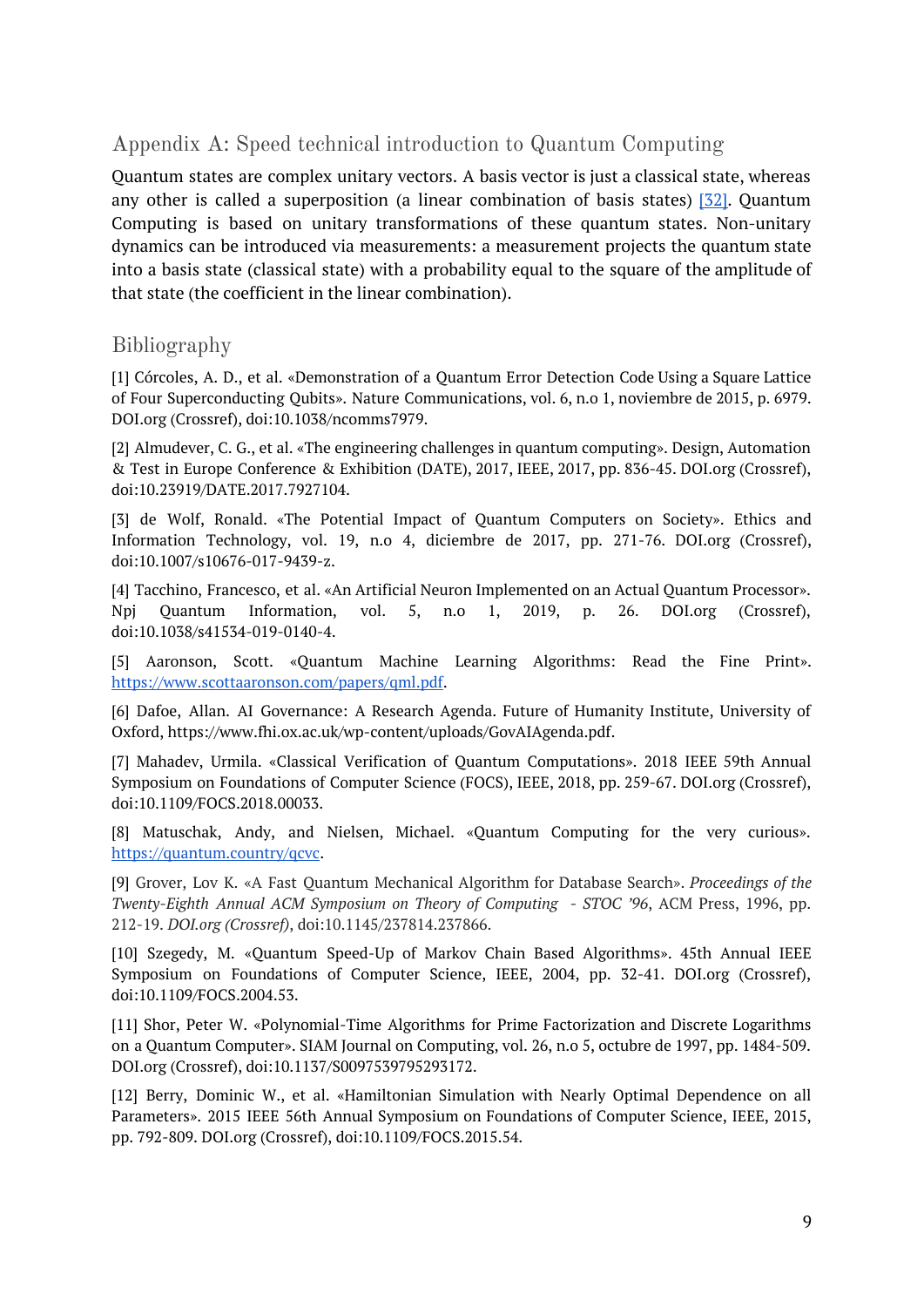### Appendix A: Speed technical introduction to Quantum Computing

Quantum states are complex unitary vectors. A basis vector is just a classical state, whereas any other is called a superposition (a linear combination of basis states) [\[32\].](http://mmrc.amss.cas.cn/tlb/201702/W020170224608149940643.pdf) Quantum Computing is based on unitary transformations of these quantum states. Non-unitary dynamics can be introduced via measurements: a measurement projects the quantum state into a basis state (classical state) with a probability equal to the square of the amplitude of that state (the coefficient in the linear combination).

#### Bibliography

[1] Córcoles, A. D., et al. «Demonstration of a Quantum Error Detection Code Using a Square Lattice of Four Superconducting Qubits». Nature Communications, vol. 6, n.o 1, noviembre de 2015, p. 6979. DOI.org (Crossref), doi:10.1038/ncomms7979.

[2] Almudever, C. G., et al. «The engineering challenges in quantum computing». Design, Automation & Test in Europe Conference & Exhibition (DATE), 2017, IEEE, 2017, pp. 836-45. DOI.org (Crossref), doi:10.23919/DATE.2017.7927104.

[3] de Wolf, Ronald. «The Potential Impact of Quantum Computers on Society». Ethics and Information Technology, vol. 19, n.o 4, diciembre de 2017, pp. 271-76. DOI.org (Crossref), doi:10.1007/s10676-017-9439-z.

[4] Tacchino, Francesco, et al. «An Artificial Neuron Implemented on an Actual Quantum Processor». Npj Quantum Information, vol. 5, n.o 1, 2019, p. 26. DOI.org (Crossref), doi:10.1038/s41534-019-0140-4.

[5] Aaronson, Scott. «Quantum Machine Learning Algorithms: Read the Fine Print». [https://www.scottaaronson.com/papers/qml.pdf.](https://www.scottaaronson.com/papers/qml.pdf)

[6] Dafoe, Allan. AI Governance: A Research Agenda. Future of Humanity Institute, University of Oxford, https://www.fhi.ox.ac.uk/wp-content/uploads/GovAIAgenda.pdf.

[7] Mahadev, Urmila. «Classical Verification of Quantum Computations». 2018 IEEE 59th Annual Symposium on Foundations of Computer Science (FOCS), IEEE, 2018, pp. 259-67. DOI.org (Crossref), doi:10.1109/FOCS.2018.00033.

[8] Matuschak, Andy, and Nielsen, Michael. «Quantum Computing for the very curious». <https://quantum.country/qcvc>.

[9] Grover, Lov K. «A Fast Quantum Mechanical Algorithm for Database Search». *Proceedings of the Twenty-Eighth Annual ACM Symposium on Theory of Computing - STOC '96*, ACM Press, 1996, pp. 212-19. *DOI.org (Crossref)*, doi:10.1145/237814.237866.

[10] Szegedy, M. «Quantum Speed-Up of Markov Chain Based Algorithms». 45th Annual IEEE Symposium on Foundations of Computer Science, IEEE, 2004, pp. 32-41. DOI.org (Crossref), doi:10.1109/FOCS.2004.53.

[11] Shor, Peter W. «Polynomial-Time Algorithms for Prime Factorization and Discrete Logarithms on a Quantum Computer». SIAM Journal on Computing, vol. 26, n.o 5, octubre de 1997, pp. 1484-509. DOI.org (Crossref), doi:10.1137/S0097539795293172.

[12] Berry, Dominic W., et al. «Hamiltonian Simulation with Nearly Optimal Dependence on all Parameters». 2015 IEEE 56th Annual Symposium on Foundations of Computer Science, IEEE, 2015, pp. 792-809. DOI.org (Crossref), doi:10.1109/FOCS.2015.54.